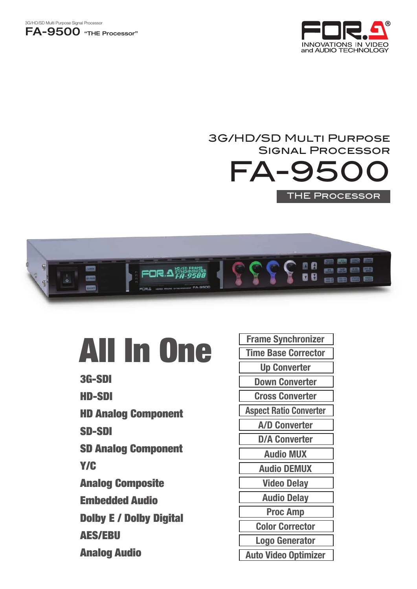



## FA-950 3G/HD/SD Multi Purpose Signal Processor THE Processor



# All In One

- 3G-SDI
- HD-SDI
- HD Analog Component
- SD-SDI
- SD Analog Component
- Y/C
- Analog Composite
- Embedded Audio
- Dolby E / Dolby Digital
- AES/EBU
- Analog Audio

Audio DEMUX Video Delay Audio Delay Audio MUX D/A Converter Aspect Ratio Converter A/D Converter Down Converter Cross Converter Up Converter Frame Synchronizer Time Base Corrector Proc Amp Color Corrector Logo Generator Auto Video Optimizer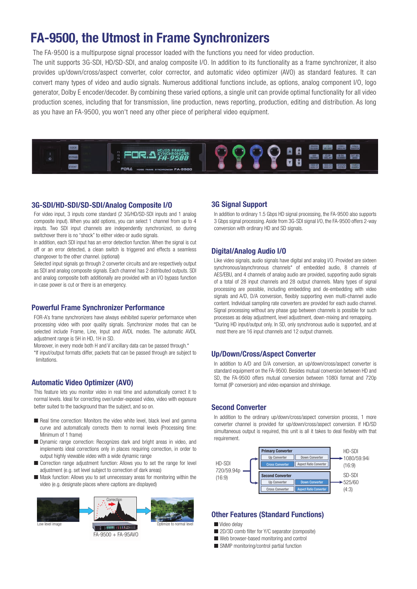## FA-9500, the Utmost in Frame Synchronizers

The FA-9500 is a multipurpose signal processor loaded with the functions you need for video production.

The unit supports 3G-SDI, HD/SD-SDI, and analog composite I/O. In addition to its functionality as a frame synchronizer, it also provides up/down/cross/aspect converter, color corrector, and automatic video optimizer (AVO) as standard features. It can convert many types of video and audio signals. Numerous additional functions include, as options, analog component I/O, logo generator, Dolby E encoder/decoder. By combining these varied options, a single unit can provide optimal functionality for all video production scenes, including that for transmission, line production, news reporting, production, editing and distribution. As long as you have an FA-9500, you won't need any other piece of peripheral video equipment.



#### 3G-SDI/HD-SDI/SD-SDI/Analog Composite I/O

For video input, 3 inputs come standard (2 3G/HD/SD-SDI inputs and 1 analog composite input). When you add options, you can select 1 channel from up to 4 inputs. Two SDI input channels are independently synchronized, so during switchover there is no "shock" to either video or audio signals.

In addition, each SDI input has an error detection function. When the signal is cut off or an error detected, a clean switch is triggered and effects a seamless changeover to the other channel. (optional)

Selected input signals go through 2 converter circuits and are respectively output as SDI and analog composite signals. Each channel has 2 distributed outputs. SDI and analog composite both additionally are provided with an I/O bypass function in case power is cut or there is an emergency.

#### Powerful Frame Synchronizer Performance

FOR-A's frame synchronizers have always exhibited superior performance when processing video with poor quality signals. Synchronizer modes that can be selected include Frame, Line, Input and AVDL modes. The automatic AVDL adjustment range is 5H in HD, 1H in SD.

Moreover, in every mode both H and V ancillary data can be passed through.\* \*If input/output formats differ, packets that can be passed through are subject to limitations.

#### Automatic Video Optimizer (AVO)

This feature lets you monitor video in real time and automatically correct it to normal levels. Ideal for correcting over/under-exposed video, video with exposure better suited to the background than the subject, and so on.

- Real time correction: Monitors the video white level, black level and gamma curve and automatically corrects them to normal levels (Processing time: Minimum of 1 frame)
- Dynamic range correction: Recognizes dark and bright areas in video, and implements ideal corrections only in places requiring correction, in order to output highly viewable video with a wide dynamic range
- Correction range adjustment function: Allows you to set the range for level adjustment (e.g. set level subject to correction of dark areas)
- Mask function: Allows you to set unnecessary areas for monitoring within the video (e.g. designate places where captions are displayed)



#### 3G Signal Support

In addition to ordinary 1.5 Gbps HD signal processing, the FA-9500 also supports 3 Gbps signal processing. Aside from 3G-SDI signal I/O, the FA-9500 offers 2-way conversion with ordinary HD and SD signals.

#### Digital/Analog Audio I/O

Like video signals, audio signals have digital and analog I/O. Provided are sixteen synchronous/asynchronous channels\* of embedded audio, 8 channels of AES/EBU, and 4 channels of analog audio are provided, supporting audio signals of a total of 28 input channels and 28 output channels. Many types of signal processing are possible, including embedding and de-embedding with video signals and A/D, D/A conversion, flexibly supporting even multi-channel audio content. Individual sampling rate converters are provided for each audio channel. Signal processing without any phase gap between channels is possible for such processes as delay adjustment, level adjustment, down-mixing and remapping. \*During HD input/output only. In SD, only synchronous audio is supported, and at most there are 16 input channels and 12 output channels.

#### Up/Down/Cross/Aspect Converter

In addition to A/D and D/A conversion, an up/down/cross/aspect converter is standard equipment on the FA-9500. Besides mutual conversion between HD and SD, the FA-9500 offers mutual conversion between 1080i format and 720p format (IP conversion) and video expansion and shrinkage.

#### Second Converter

In addition to the ordinary up/down/cross/aspect conversion process, 1 more converter channel is provided for up/down/cross/aspect conversion. If HD/SD simultaneous output is required, this unit is all it takes to deal flexibly with that requirement.



#### Other Features (Standard Functions)

- Video delay
- 2D/3D comb filter for Y/C separator (composite)
- Web browser-based monitoring and control
- SNMP monitoring/control partial function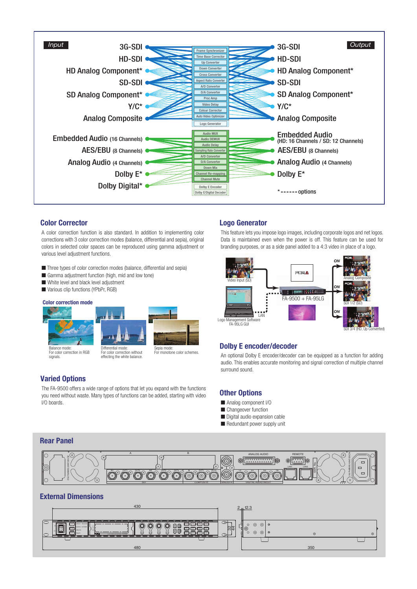

#### Color Corrector Logo Generator

A color correction function is also standard. In addition to implementing color corrections with 3 color correction modes (balance, differential and sepia), original colors in selected color spaces can be reproduced using gamma adjustment or various level adjustment functions.

- Three types of color correction modes (balance, differential and sepia)
- Gamma adjustment function (high, mid and low tone)
- White level and black level adjustment
- Various clip functions (YPbPr, RGB)

#### Color correction mode





epia mode For monotone color schemes.

#### For color correction in RGB signals.

For color correction without effecting the white balance.

### Varied Options

The FA-9500 offers a wide range of options that let you expand with the functions you need without waste. Many types of functions can be added, starting with video I/O boards.

This feature lets you impose logo images, including corporate logos and net logos. Data is maintained even when the power is off. This feature can be used for branding purposes, or as a side panel added to a 4:3 video in place of a logo.



#### Dolby E encoder/decoder

An optional Dolby E encoder/decoder can be equipped as a function for adding audio. This enables accurate monitoring and signal correction of multiple channel surround sound.

#### Other Options

- Analog component I/O
- Changeover function
- Digital audio expansion cable
- Redundant power supply unit





#### External Dimensions